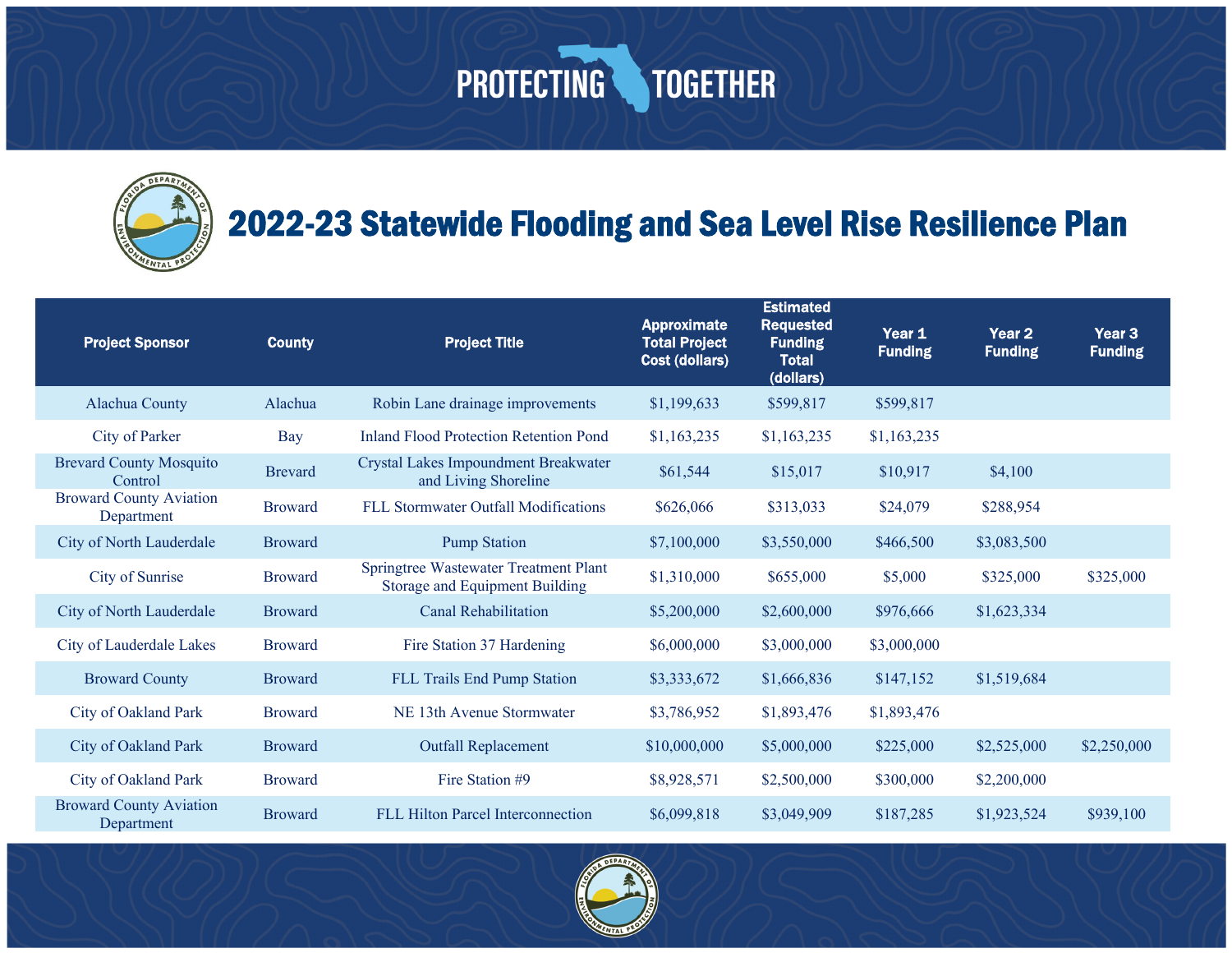#### 2022-23 Statewide Flooding and Sea Level Rise Resilience Plan

| <b>Project Sponsor</b>                       | <b>County</b>  | <b>Project Title</b>                                                    | <b>Approximate</b><br><b>Total Project</b><br><b>Cost (dollars)</b> | <b>Estimated</b><br><b>Requested</b><br><b>Funding</b><br><b>Total</b><br>(dollars) | Year 1<br><b>Funding</b> | Year <sub>2</sub><br><b>Funding</b> | Year <sub>3</sub><br><b>Funding</b> |
|----------------------------------------------|----------------|-------------------------------------------------------------------------|---------------------------------------------------------------------|-------------------------------------------------------------------------------------|--------------------------|-------------------------------------|-------------------------------------|
| Alachua County                               | Alachua        | Robin Lane drainage improvements                                        | \$1,199,633                                                         | \$599,817                                                                           | \$599,817                |                                     |                                     |
| City of Parker                               | Bay            | <b>Inland Flood Protection Retention Pond</b>                           | \$1,163,235                                                         | \$1,163,235                                                                         | \$1,163,235              |                                     |                                     |
| <b>Brevard County Mosquito</b><br>Control    | <b>Brevard</b> | Crystal Lakes Impoundment Breakwater<br>and Living Shoreline            | \$61,544                                                            | \$15,017                                                                            | \$10,917                 | \$4,100                             |                                     |
| <b>Broward County Aviation</b><br>Department | <b>Broward</b> | FLL Stormwater Outfall Modifications                                    | \$626,066                                                           | \$313,033                                                                           | \$24,079                 | \$288,954                           |                                     |
| City of North Lauderdale                     | <b>Broward</b> | <b>Pump Station</b>                                                     | \$7,100,000                                                         | \$3,550,000                                                                         | \$466,500                | \$3,083,500                         |                                     |
| City of Sunrise                              | <b>Broward</b> | Springtree Wastewater Treatment Plant<br>Storage and Equipment Building | \$1,310,000                                                         | \$655,000                                                                           | \$5,000                  | \$325,000                           | \$325,000                           |
| City of North Lauderdale                     | <b>Broward</b> | <b>Canal Rehabilitation</b>                                             | \$5,200,000                                                         | \$2,600,000                                                                         | \$976,666                | \$1,623,334                         |                                     |
| City of Lauderdale Lakes                     | <b>Broward</b> | Fire Station 37 Hardening                                               | \$6,000,000                                                         | \$3,000,000                                                                         | \$3,000,000              |                                     |                                     |
| <b>Broward County</b>                        | <b>Broward</b> | FLL Trails End Pump Station                                             | \$3,333,672                                                         | \$1,666,836                                                                         | \$147,152                | \$1,519,684                         |                                     |
| City of Oakland Park                         | <b>Broward</b> | NE 13th Avenue Stormwater                                               | \$3,786,952                                                         | \$1,893,476                                                                         | \$1,893,476              |                                     |                                     |
| City of Oakland Park                         | <b>Broward</b> | <b>Outfall Replacement</b>                                              | \$10,000,000                                                        | \$5,000,000                                                                         | \$225,000                | \$2,525,000                         | \$2,250,000                         |
| City of Oakland Park                         | <b>Broward</b> | Fire Station #9                                                         | \$8,928,571                                                         | \$2,500,000                                                                         | \$300,000                | \$2,200,000                         |                                     |
| <b>Broward County Aviation</b><br>Department | <b>Broward</b> | FLL Hilton Parcel Interconnection                                       | \$6,099,818                                                         | \$3,049,909                                                                         | \$187,285                | \$1,923,524                         | \$939,100                           |

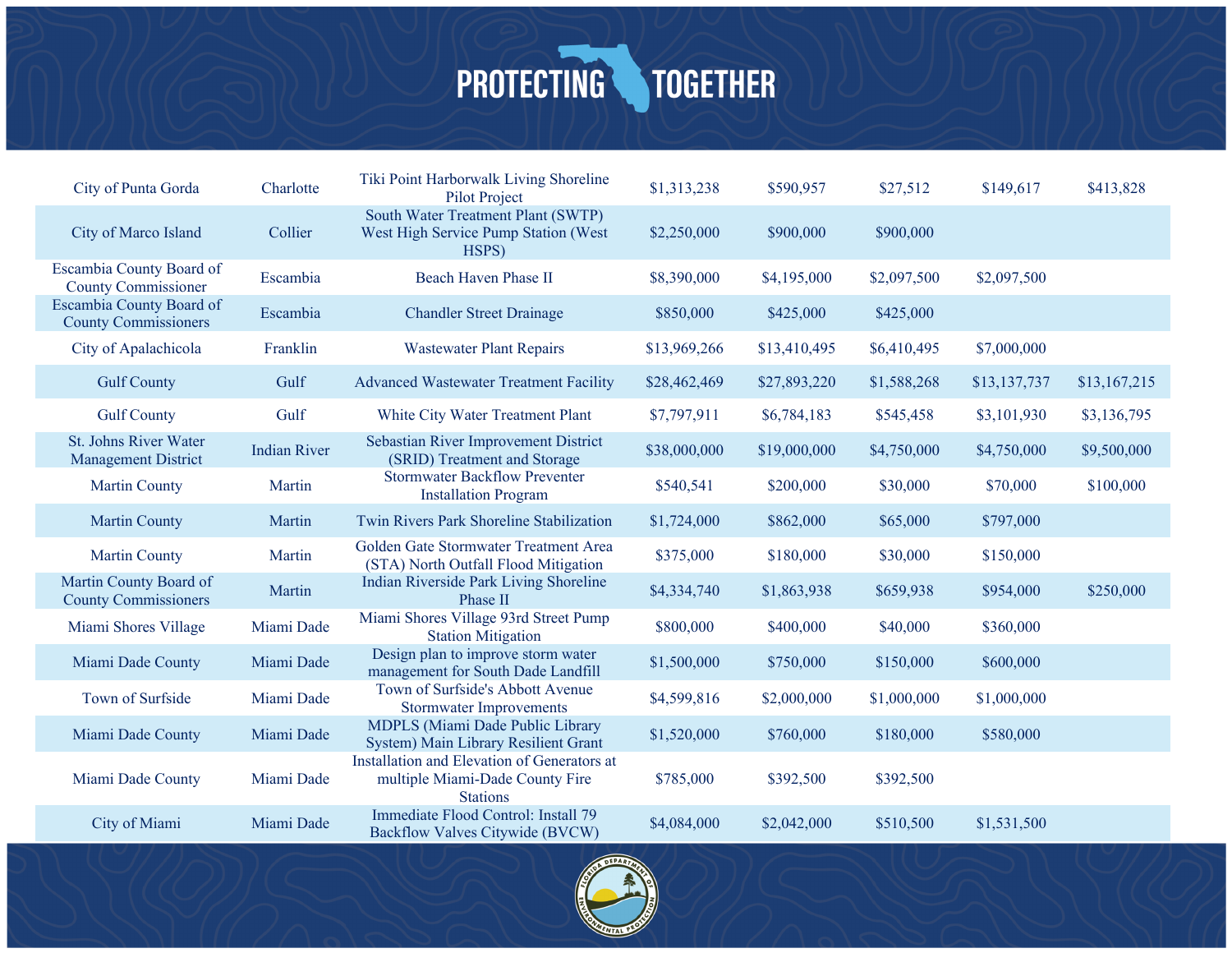| City of Punta Gorda                                        | Charlotte           | Tiki Point Harborwalk Living Shoreline<br>Pilot Project                                           | \$1,313,238  | \$590,957    | \$27,512    | \$149,617    | \$413,828    |
|------------------------------------------------------------|---------------------|---------------------------------------------------------------------------------------------------|--------------|--------------|-------------|--------------|--------------|
| City of Marco Island                                       | Collier             | South Water Treatment Plant (SWTP)<br>West High Service Pump Station (West<br>HSPS)               | \$2,250,000  | \$900,000    | \$900,000   |              |              |
| Escambia County Board of<br><b>County Commissioner</b>     | Escambia            | Beach Haven Phase II                                                                              | \$8,390,000  | \$4,195,000  | \$2,097,500 | \$2,097,500  |              |
| Escambia County Board of<br><b>County Commissioners</b>    | Escambia            | <b>Chandler Street Drainage</b>                                                                   | \$850,000    | \$425,000    | \$425,000   |              |              |
| City of Apalachicola                                       | Franklin            | <b>Wastewater Plant Repairs</b>                                                                   | \$13,969,266 | \$13,410,495 | \$6,410,495 | \$7,000,000  |              |
| <b>Gulf County</b>                                         | Gulf                | <b>Advanced Wastewater Treatment Facility</b>                                                     | \$28,462,469 | \$27,893,220 | \$1,588,268 | \$13,137,737 | \$13,167,215 |
| <b>Gulf County</b>                                         | Gulf                | White City Water Treatment Plant                                                                  | \$7,797,911  | \$6,784,183  | \$545,458   | \$3,101,930  | \$3,136,795  |
| <b>St. Johns River Water</b><br><b>Management District</b> | <b>Indian River</b> | Sebastian River Improvement District<br>(SRID) Treatment and Storage                              | \$38,000,000 | \$19,000,000 | \$4,750,000 | \$4,750,000  | \$9,500,000  |
| <b>Martin County</b>                                       | Martin              | <b>Stormwater Backflow Preventer</b><br><b>Installation Program</b>                               | \$540,541    | \$200,000    | \$30,000    | \$70,000     | \$100,000    |
| <b>Martin County</b>                                       | Martin              | Twin Rivers Park Shoreline Stabilization                                                          | \$1,724,000  | \$862,000    | \$65,000    | \$797,000    |              |
| <b>Martin County</b>                                       | Martin              | Golden Gate Stormwater Treatment Area<br>(STA) North Outfall Flood Mitigation                     | \$375,000    | \$180,000    | \$30,000    | \$150,000    |              |
| Martin County Board of<br><b>County Commissioners</b>      | Martin              | Indian Riverside Park Living Shoreline<br>Phase II                                                | \$4,334,740  | \$1,863,938  | \$659,938   | \$954,000    | \$250,000    |
| Miami Shores Village                                       | Miami Dade          | Miami Shores Village 93rd Street Pump<br><b>Station Mitigation</b>                                | \$800,000    | \$400,000    | \$40,000    | \$360,000    |              |
| Miami Dade County                                          | Miami Dade          | Design plan to improve storm water<br>management for South Dade Landfill                          | \$1,500,000  | \$750,000    | \$150,000   | \$600,000    |              |
| Town of Surfside                                           | Miami Dade          | Town of Surfside's Abbott Avenue<br><b>Stormwater Improvements</b>                                | \$4,599,816  | \$2,000,000  | \$1,000,000 | \$1,000,000  |              |
| Miami Dade County                                          | Miami Dade          | MDPLS (Miami Dade Public Library<br>System) Main Library Resilient Grant                          | \$1,520,000  | \$760,000    | \$180,000   | \$580,000    |              |
| Miami Dade County                                          | Miami Dade          | Installation and Elevation of Generators at<br>multiple Miami-Dade County Fire<br><b>Stations</b> | \$785,000    | \$392,500    | \$392,500   |              |              |
| City of Miami                                              | Miami Dade          | Immediate Flood Control: Install 79<br>Backflow Valves Citywide (BVCW)                            | \$4,084,000  | \$2,042,000  | \$510,500   | \$1,531,500  |              |

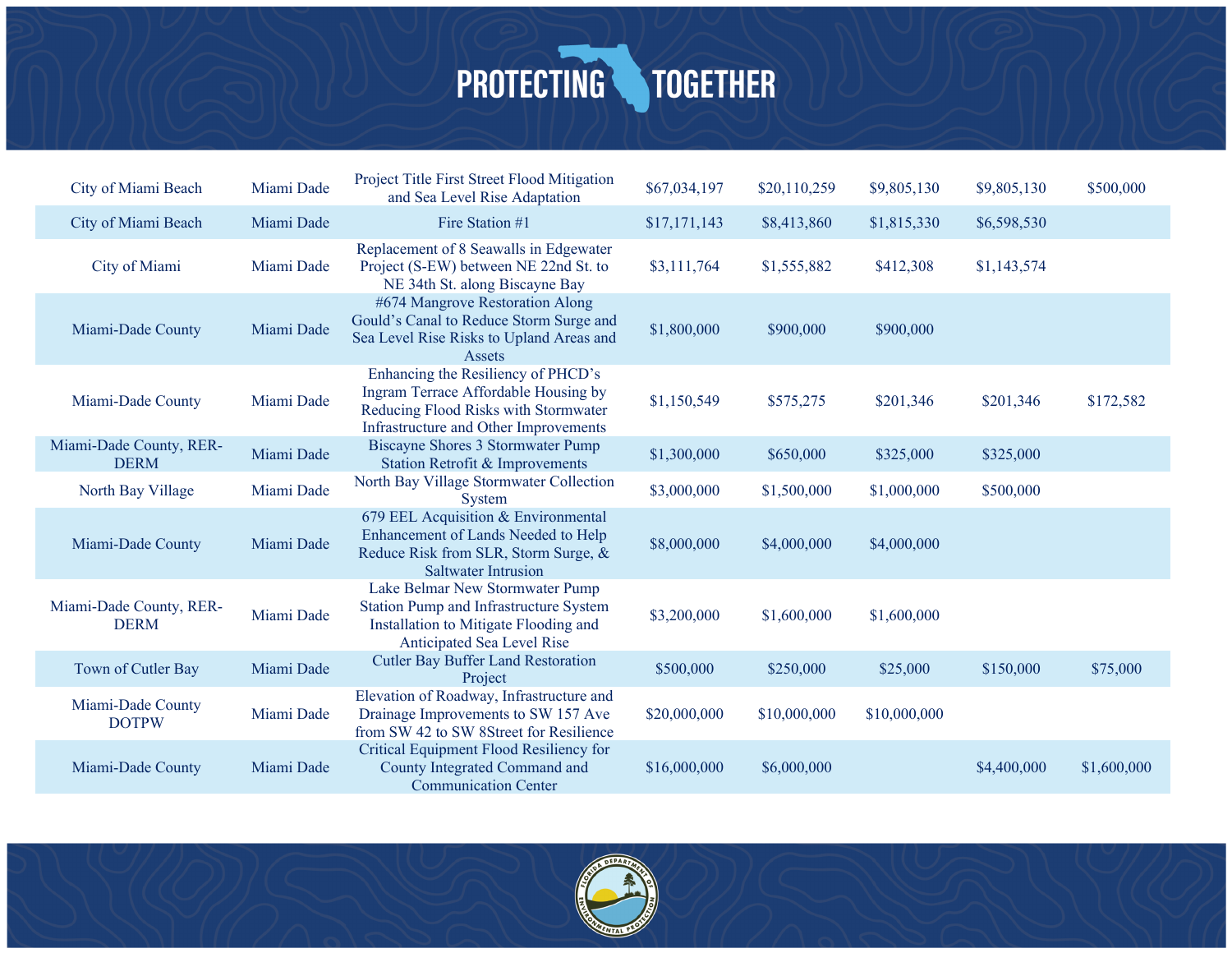| City of Miami Beach                    | Miami Dade | Project Title First Street Flood Mitigation<br>and Sea Level Rise Adaptation                                                                                | \$67,034,197 | \$20,110,259 | \$9,805,130  | \$9,805,130 | \$500,000   |
|----------------------------------------|------------|-------------------------------------------------------------------------------------------------------------------------------------------------------------|--------------|--------------|--------------|-------------|-------------|
| City of Miami Beach                    | Miami Dade | Fire Station #1                                                                                                                                             | \$17,171,143 | \$8,413,860  | \$1,815,330  | \$6,598,530 |             |
| City of Miami                          | Miami Dade | Replacement of 8 Seawalls in Edgewater<br>Project (S-EW) between NE 22nd St. to<br>NE 34th St. along Biscayne Bay                                           | \$3,111,764  | \$1,555,882  | \$412,308    | \$1,143,574 |             |
| Miami-Dade County                      | Miami Dade | #674 Mangrove Restoration Along<br>Gould's Canal to Reduce Storm Surge and<br>Sea Level Rise Risks to Upland Areas and<br>Assets                            | \$1,800,000  | \$900,000    | \$900,000    |             |             |
| Miami-Dade County                      | Miami Dade | Enhancing the Resiliency of PHCD's<br>Ingram Terrace Affordable Housing by<br>Reducing Flood Risks with Stormwater<br>Infrastructure and Other Improvements | \$1,150,549  | \$575,275    | \$201,346    | \$201,346   | \$172,582   |
| Miami-Dade County, RER-<br><b>DERM</b> | Miami Dade | Biscayne Shores 3 Stormwater Pump<br>Station Retrofit & Improvements                                                                                        | \$1,300,000  | \$650,000    | \$325,000    | \$325,000   |             |
| North Bay Village                      | Miami Dade | North Bay Village Stormwater Collection<br>System                                                                                                           | \$3,000,000  | \$1,500,000  | \$1,000,000  | \$500,000   |             |
| Miami-Dade County                      | Miami Dade | 679 EEL Acquisition & Environmental<br>Enhancement of Lands Needed to Help<br>Reduce Risk from SLR, Storm Surge, &<br><b>Saltwater Intrusion</b>            | \$8,000,000  | \$4,000,000  | \$4,000,000  |             |             |
| Miami-Dade County, RER-<br><b>DERM</b> | Miami Dade | Lake Belmar New Stormwater Pump<br>Station Pump and Infrastructure System<br>Installation to Mitigate Flooding and<br>Anticipated Sea Level Rise            | \$3,200,000  | \$1,600,000  | \$1,600,000  |             |             |
| Town of Cutler Bay                     | Miami Dade | <b>Cutler Bay Buffer Land Restoration</b><br>Project                                                                                                        | \$500,000    | \$250,000    | \$25,000     | \$150,000   | \$75,000    |
| Miami-Dade County<br><b>DOTPW</b>      | Miami Dade | Elevation of Roadway, Infrastructure and<br>Drainage Improvements to SW 157 Ave<br>from SW 42 to SW 8Street for Resilience                                  | \$20,000,000 | \$10,000,000 | \$10,000,000 |             |             |
| Miami-Dade County                      | Miami Dade | Critical Equipment Flood Resiliency for<br>County Integrated Command and<br><b>Communication Center</b>                                                     | \$16,000,000 | \$6,000,000  |              | \$4,400,000 | \$1,600,000 |

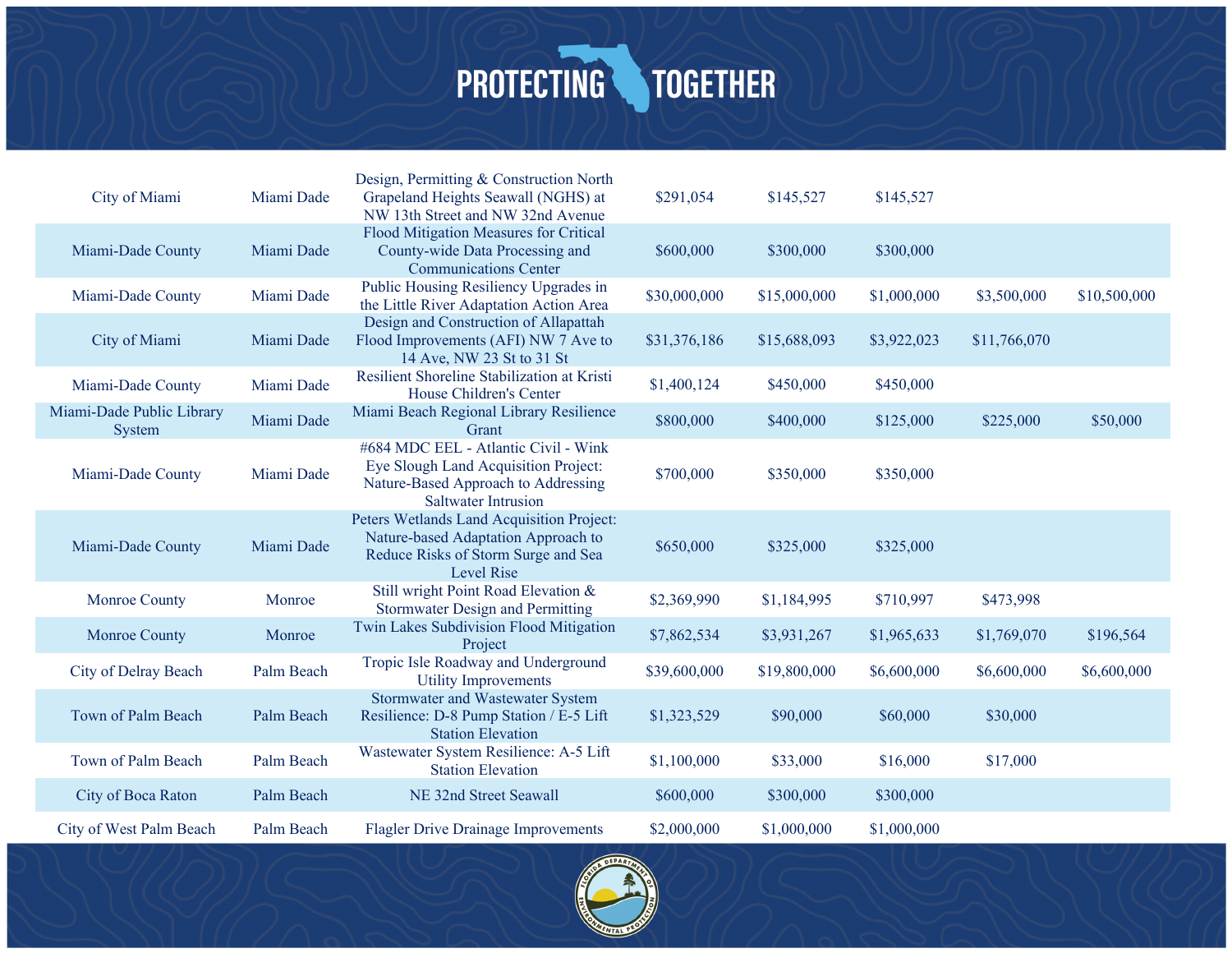| City of Miami                       | Miami Dade | Design, Permitting & Construction North<br>Grapeland Heights Seawall (NGHS) at<br>NW 13th Street and NW 32nd Avenue                               | \$291,054    | \$145,527    | \$145,527   |              |              |
|-------------------------------------|------------|---------------------------------------------------------------------------------------------------------------------------------------------------|--------------|--------------|-------------|--------------|--------------|
| Miami-Dade County                   | Miami Dade | Flood Mitigation Measures for Critical<br>County-wide Data Processing and<br><b>Communications Center</b>                                         | \$600,000    | \$300,000    | \$300,000   |              |              |
| Miami-Dade County                   | Miami Dade | Public Housing Resiliency Upgrades in<br>the Little River Adaptation Action Area                                                                  | \$30,000,000 | \$15,000,000 | \$1,000,000 | \$3,500,000  | \$10,500,000 |
| City of Miami                       | Miami Dade | Design and Construction of Allapattah<br>Flood Improvements (AFI) NW 7 Ave to<br>14 Ave, NW 23 St to 31 St                                        | \$31,376,186 | \$15,688,093 | \$3,922,023 | \$11,766,070 |              |
| Miami-Dade County                   | Miami Dade | Resilient Shoreline Stabilization at Kristi<br>House Children's Center                                                                            | \$1,400,124  | \$450,000    | \$450,000   |              |              |
| Miami-Dade Public Library<br>System | Miami Dade | Miami Beach Regional Library Resilience<br>Grant                                                                                                  | \$800,000    | \$400,000    | \$125,000   | \$225,000    | \$50,000     |
| Miami-Dade County                   | Miami Dade | #684 MDC EEL - Atlantic Civil - Wink<br>Eye Slough Land Acquisition Project:<br>Nature-Based Approach to Addressing<br><b>Saltwater Intrusion</b> | \$700,000    | \$350,000    | \$350,000   |              |              |
| Miami-Dade County                   | Miami Dade | Peters Wetlands Land Acquisition Project:<br>Nature-based Adaptation Approach to<br>Reduce Risks of Storm Surge and Sea<br><b>Level Rise</b>      | \$650,000    | \$325,000    | \$325,000   |              |              |
| Monroe County                       | Monroe     | Still wright Point Road Elevation &<br><b>Stormwater Design and Permitting</b>                                                                    | \$2,369,990  | \$1,184,995  | \$710,997   | \$473,998    |              |
| <b>Monroe County</b>                | Monroe     | Twin Lakes Subdivision Flood Mitigation<br>Project                                                                                                | \$7,862,534  | \$3,931,267  | \$1,965,633 | \$1,769,070  | \$196,564    |
| City of Delray Beach                | Palm Beach | Tropic Isle Roadway and Underground<br><b>Utility Improvements</b>                                                                                | \$39,600,000 | \$19,800,000 | \$6,600,000 | \$6,600,000  | \$6,600,000  |
| Town of Palm Beach                  | Palm Beach | Stormwater and Wastewater System<br>Resilience: D-8 Pump Station / E-5 Lift<br><b>Station Elevation</b>                                           | \$1,323,529  | \$90,000     | \$60,000    | \$30,000     |              |
| Town of Palm Beach                  | Palm Beach | Wastewater System Resilience: A-5 Lift<br><b>Station Elevation</b>                                                                                | \$1,100,000  | \$33,000     | \$16,000    | \$17,000     |              |
| City of Boca Raton                  | Palm Beach | NE 32nd Street Seawall                                                                                                                            | \$600,000    | \$300,000    | \$300,000   |              |              |
| City of West Palm Beach             | Palm Beach | <b>Flagler Drive Drainage Improvements</b>                                                                                                        | \$2,000,000  | \$1,000,000  | \$1,000,000 |              |              |